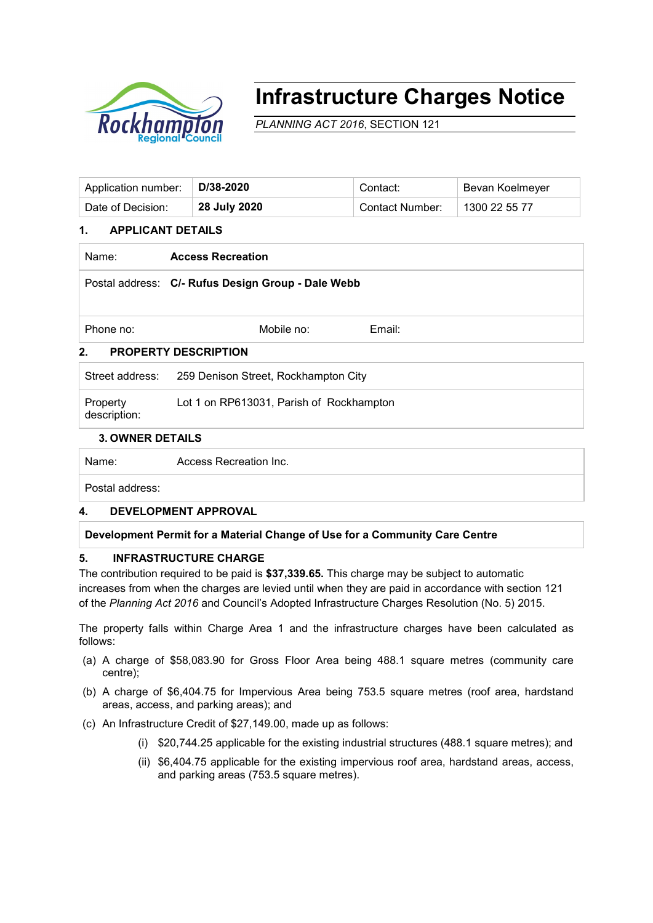

# **Infrastructure Charges Notice**

*PLANNING ACT 2016*, SECTION 121

| Application number: | D/38-2020    | Contact:        | Bevan Koelmeyer |
|---------------------|--------------|-----------------|-----------------|
| Date of Decision:   | 28 July 2020 | Contact Number: | 1300 22 55 77   |

## **1. APPLICANT DETAILS**

Name: **Access Recreation**

Postal address: **C/- Rufus Design Group - Dale Webb**

Phone no: Contract Mobile no: Contract Phone no: Email:

## **2. PROPERTY DESCRIPTION**

Street address: 259 Denison Street, Rockhampton City Property description: Lot 1 on RP613031, Parish of Rockhampton

### **3. OWNER DETAILS**

Name: Access Recreation Inc.

Postal address:

### **4. DEVELOPMENT APPROVAL**

### **Development Permit for a Material Change of Use for a Community Care Centre**

### **5. INFRASTRUCTURE CHARGE**

The contribution required to be paid is **\$37,339.65.** This charge may be subject to automatic increases from when the charges are levied until when they are paid in accordance with section 121 of the *Planning Act 2016* and Council's Adopted Infrastructure Charges Resolution (No. 5) 2015.

The property falls within Charge Area 1 and the infrastructure charges have been calculated as follows:

- (a) A charge of \$58,083.90 for Gross Floor Area being 488.1 square metres (community care centre);
- (b) A charge of \$6,404.75 for Impervious Area being 753.5 square metres (roof area, hardstand areas, access, and parking areas); and
- (c) An Infrastructure Credit of \$27,149.00, made up as follows:
	- (i) \$20,744.25 applicable for the existing industrial structures (488.1 square metres); and
	- (ii) \$6,404.75 applicable for the existing impervious roof area, hardstand areas, access, and parking areas (753.5 square metres).